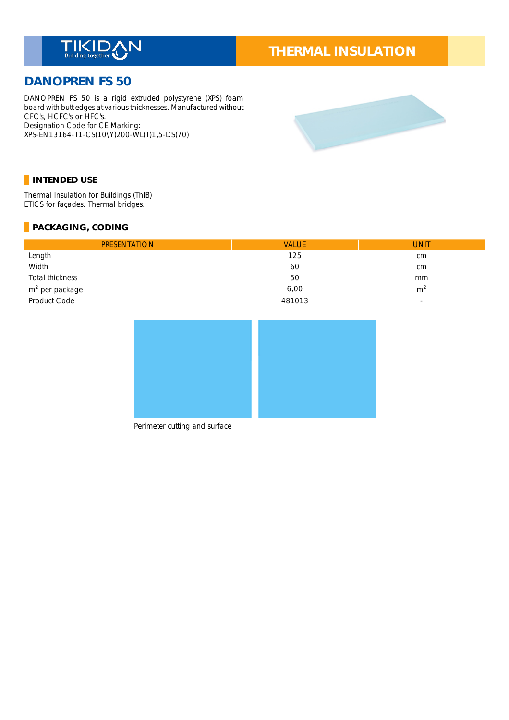

# **THERMAL INSULATION**

## **DANOPREN FS 50**

DANOPREN FS 50 is a rigid extruded polystyrene (XPS) foam board with butt edges at various thicknesses. Manufactured without CFC's, HCFC's or HFC's. Designation Code for CE Marking: XPS-EN13164-T1-CS(10\Y)200-WL(T)1,5-DS(70) \_



#### **INTENDED USE**

Thermal Insulation for Buildings (ThIB) \_ ETICS for façades. Thermal bridges.

#### **PACKAGING, CODING**

| <b>PRESENTATION</b>         | <b>VALUE</b> | <b>UNIT</b>              |
|-----------------------------|--------------|--------------------------|
| Length                      | 125          | cm                       |
| Width                       | 60           | cm                       |
| Total thickness             | 50           | mm                       |
| $\frac{m^2}{2}$ per package | 6,00         | m <sup>2</sup>           |
|                             | 481013       | $\overline{\phantom{a}}$ |



Perimeter cutting and surface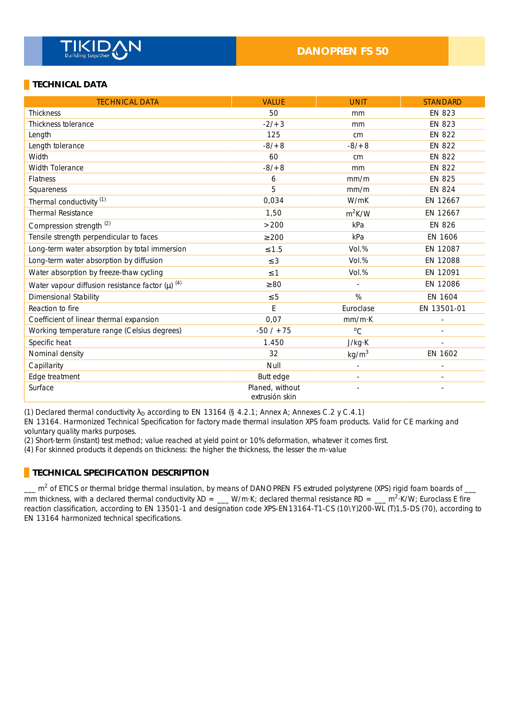#### **DANOPREN FS 50**

#### **TECHNICAL DATA**

| <b>TECHNICAL DATA</b>                                           | <b>VALUE</b>                      | <b>UNIT</b>       | <b>STANDARD</b> |
|-----------------------------------------------------------------|-----------------------------------|-------------------|-----------------|
| <b>Thickness</b>                                                | 50                                | mm                | <b>EN 823</b>   |
| <b>Thickness tolerance</b>                                      | $-2/3$                            | mm                | <b>EN 823</b>   |
| Length                                                          | 125                               | cm                | <b>EN 822</b>   |
| Length tolerance                                                | $-8/ + 8$                         | $-8/ + 8$         | <b>EN 822</b>   |
| Width                                                           | 60                                | cm                | <b>EN 822</b>   |
| <b>Width Tolerance</b>                                          | $-8/ + 8$                         | mm                | <b>EN 822</b>   |
| <b>Flatness</b>                                                 | 6                                 | mm/m              | <b>EN 825</b>   |
| Squareness                                                      | 5                                 | mm/m              | <b>EN 824</b>   |
| Thermal conductivity <sup>(1)</sup>                             | 0,034                             | W/mK              | EN 12667        |
| <b>Thermal Resistance</b>                                       | 1,50                              | $m^2K/W$          | EN 12667        |
| Compression strength <sup>(2)</sup>                             | >200                              | kPa               | <b>EN 826</b>   |
| Tensile strength perpendicular to faces                         | $\geq 200$                        | kPa               | EN 1606         |
| Long-term water absorption by total immersion                   | $\leq 1.5$                        | Vol.%             | EN 12087        |
| Long-term water absorption by diffusion                         | $\leq$ 3                          | Vol.%             | EN 12088        |
| Water absorption by freeze-thaw cycling                         | $\leq$ 1                          | Vol.%             | EN 12091        |
| Water vapour diffusion resistance factor $(\mu)$ <sup>(4)</sup> | $\geq 80$                         |                   | EN 12086        |
| Dimensional Stability                                           | $\leq 5$                          | %                 | EN 1604         |
| Reaction to fire                                                | E                                 | Euroclase         | EN 13501-01     |
| Coefficient of linear thermal expansion                         | 0,07                              | mm/mK             |                 |
| Working temperature range (Celsius degrees)                     | $-50/ + 75$                       | $^{\circ}C$       |                 |
| Specific heat                                                   | 1.450                             | J/kg·K            |                 |
| Nominal density                                                 | 32                                | kg/m <sup>3</sup> | EN 1602         |
| Capillarity                                                     | Null                              |                   |                 |
| Edge treatment                                                  | Butt edge                         |                   |                 |
| Surface                                                         | Planed, without<br>extrusión skin |                   |                 |

(1) Declared thermal conductivity  $\lambda_D$  according to EN 13164 (§ 4.2.1; Annex A; Annexes C.2 y C.4.1)

EN 13164. Harmonized Technical Specification for factory made thermal insulation XPS foam products. Valid for CE marking and voluntary quality marks purposes.

(2) Short-term (instant) test method; value reached at yield point or 10% deformation, whatever it comes first.

(4) For skinned products it depends on thickness: the higher the thickness, the lesser the m-value

#### **TECHNICAL SPECIFICATION DESCRIPTION**

 $-$  m<sup>2</sup> of ETICS or thermal bridge thermal insulation, by means of DANOPREN FS extruded polystyrene (XPS) rigid foam boards of  $$ mm thickness, with a declared thermal conductivity  $\lambda D =$  W/m·K; declared thermal resistance RD = \_\_ m<sup>2</sup>·K/W; Euroclass E fire reaction classification, according to EN 13501-1 and designation code XPS-EN13164-T1-CS (10\Y)200-WL (T)1,5-DS (70), according to EN 13164 harmonized technical specifications.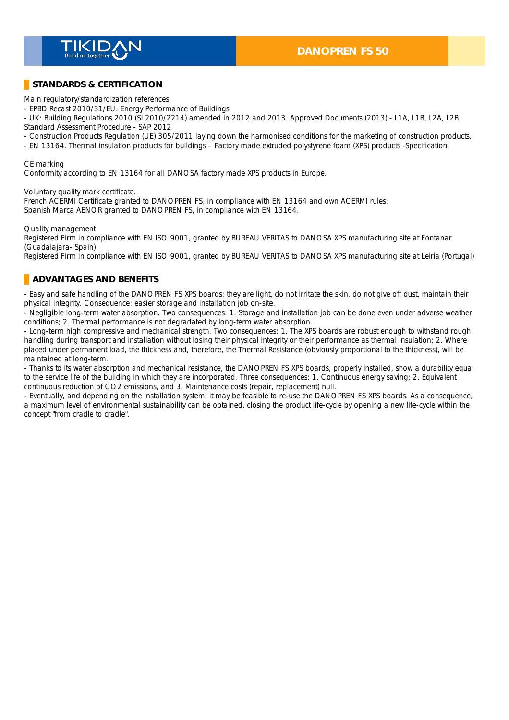

#### **STANDARDS & CERTIFICATION**

Main regulatory/standardization references \_

- EPBD Recast 2010/31/EU. Energy Performance of Buildings \_

- UK: Building Regulations 2010 (SI 2010/2214) amended in 2012 and 2013. Approved Documents (2013) - L1A, L1B, L2A, L2B. Standard Assessment Procedure - SAP 2012 \_

- Construction Products Regulation (UE) 305/2011 laying down the harmonised conditions for the marketing of construction products.

- EN 13164. Thermal insulation products for buildings – Factory made extruded polystyrene foam (XPS) products -Specification \_

#### CF marking

Conformity according to EN 13164 for all DANOSA factory made XPS products in Europe.

Voluntary quality mark certificate. \_

French ACERMI Certificate granted to DANOPREN FS, in compliance with EN 13164 and own ACERMI rules. Spanish Marca AENOR granted to DANOPREN FS, in compliance with EN 13164.

Quality management \_

Registered Firm in compliance with EN ISO 9001, granted by BUREAU VERITAS to DANOSA XPS manufacturing site at Fontanar (Guadalajara- Spain) \_

Registered Firm in compliance with EN ISO 9001, granted by BUREAU VERITAS to DANOSA XPS manufacturing site at Leiria (Portugal) \_

#### **ADVANTAGES AND BENEFITS**

- Easy and safe handling of the DANOPREN FS XPS boards: they are light, do not irritate the skin, do not give off dust, maintain their physical integrity. Consequence: easier storage and installation job on-site. \_

- Negligible long-term water absorption. Two consequences: 1. Storage and installation job can be done even under adverse weather conditions; 2. Thermal performance is not degradated by long-term water absorption. \_

- Long-term high compressive and mechanical strength. Two consequences: 1. The XPS boards are robust enough to withstand rough handling during transport and installation without losing their physical integrity or their performance as thermal insulation; 2. Where placed under permanent load, the thickness and, therefore, the Thermal Resistance (obviously proportional to the thickness), will be maintained at long-term.

- Thanks to its water absorption and mechanical resistance, the DANOPREN FS XPS boards, properly installed, show a durability equal to the service life of the building in which they are incorporated. Three consequences: 1. Continuous energy saving; 2. Equivalent continuous reduction of CO2 emissions, and 3. Maintenance costs (repair, replacement) null.

- Eventually, and depending on the installation system, it may be feasible to re-use the DANOPREN FS XPS boards. As a consequence, a maximum level of environmental sustainability can be obtained, closing the product life-cycle by opening a new life-cycle within the concept "from cradle to cradle".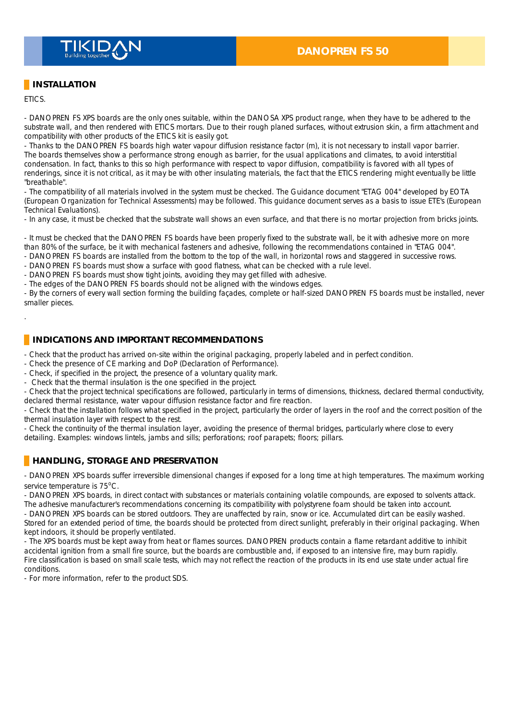

### **INSTALLATION**

ETICS. \_

.

- DANOPREN FS XPS boards are the only ones suitable, within the DANOSA XPS product range, when they have to be adhered to the substrate wall, and then rendered with ETICS mortars. Due to their rough planed surfaces, without extrusion skin, a firm attachment and compatibility with other products of the ETICS kit is easily got.

- Thanks to the DANOPREN FS boards high water vapour diffusion resistance factor (m), it is not necessary to install vapor barrier. The boards themselves show a performance strong enough as barrier, for the usual applications and climates, to avoid interstitial condensation. In fact, thanks to this so high performance with respect to vapor diffusion, compatibility is favored with all types of renderings, since it is not critical, as it may be with other insulating materials, the fact that the ETICS rendering might eventually be little "breathable".

- The compatibility of all materials involved in the system must be checked. The Guidance document "ETAG 004" developed by EOTA (European Organization for Technical Assessments) may be followed. This guidance document serves as a basis to issue ETE's (European Technical Evaluations). \_

- In any case, it must be checked that the substrate wall shows an even surface, and that there is no mortar projection from bricks joints.

- It must be checked that the DANOPREN FS boards have been properly fixed to the substrate wall, be it with adhesive more on more than 80% of the surface, be it with mechanical fasteners and adhesive, following the recommendations contained in "ETAG 004".

- DANOPREN FS boards are installed from the bottom to the top of the wall, in horizontal rows and staggered in successive rows.

- DANOPREN FS boards must show a surface with good flatness, what can be checked with a rule level.

- DANOPREN FS boards must show tight joints, avoiding they may get filled with adhesive.

- The edges of the DANOPREN FS boards should not be aligned with the windows edges.

- By the corners of every wall section forming the building façades, complete or half-sized DANOPREN FS boards must be installed, never smaller pieces.

#### **INDICATIONS AND IMPORTANT RECOMMENDATIONS**

- Check that the product has arrived on-site within the original packaging, properly labeled and in perfect condition.

- Check the presence of CE marking and DoP (Declaration of Performance).

- Check, if specified in the project, the presence of a voluntary quality mark.

- Check that the thermal insulation is the one specified in the project.

- Check that the project technical specifications are followed, particularly in terms of dimensions, thickness, declared thermal conductivity, declared thermal resistance, water vapour diffusion resistance factor and fire reaction.

- Check that the installation follows what specified in the project, particularly the order of layers in the roof and the correct position of the thermal insulation layer with respect to the rest.

- Check the continuity of the thermal insulation layer, avoiding the presence of thermal bridges, particularly where close to every detailing. Examples: windows lintels, jambs and sills; perforations; roof parapets; floors; pillars.

#### **HANDLING, STORAGE AND PRESERVATION**

- DANOPREN XPS boards suffer irreversible dimensional changes if exposed for a long time at high temperatures. The maximum working service temperature is  $75^{\circ}$ C.

- DANOPREN XPS boards, in direct contact with substances or materials containing volatile compounds, are exposed to solvents attack. The adhesive manufacturer's recommendations concerning its compatibility with polystyrene foam should be taken into account.

- DANOPREN XPS boards can be stored outdoors. They are unaffected by rain, snow or ice. Accumulated dirt can be easily washed. Stored for an extended period of time, the boards should be protected from direct sunlight, preferably in their original packaging. When kept indoors, it should be properly ventilated. \_

- The XPS boards must be kept away from heat or flames sources. DANOPREN products contain a flame retardant additive to inhibit accidental ignition from a small fire source, but the boards are combustible and, if exposed to an intensive fire, may burn rapidly. Fire classification is based on small scale tests, which may not reflect the reaction of the products in its end use state under actual fire conditions. \_

- For more information, refer to the product SDS. \_